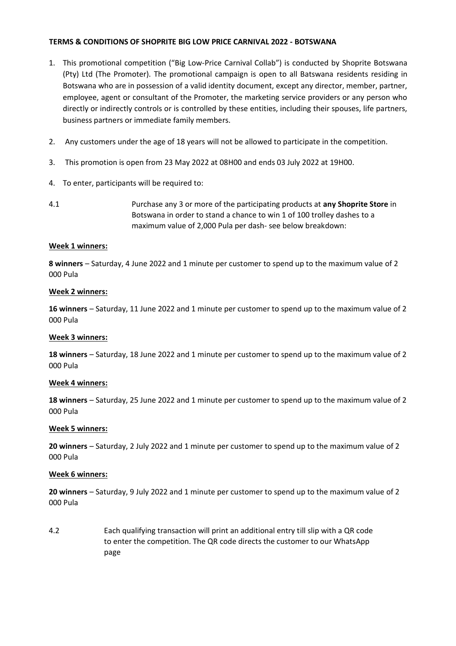### **TERMS & CONDITIONS OF SHOPRITE BIG LOW PRICE CARNIVAL 2022 - BOTSWANA**

- 1. This promotional competition ("Big Low-Price Carnival Collab") is conducted by Shoprite Botswana (Pty) Ltd (The Promoter). The promotional campaign is open to all Batswana residents residing in Botswana who are in possession of a valid identity document, except any director, member, partner, employee, agent or consultant of the Promoter, the marketing service providers or any person who directly or indirectly controls or is controlled by these entities, including their spouses, life partners, business partners or immediate family members.
- 2. Any customers under the age of 18 years will not be allowed to participate in the competition.
- 3. This promotion is open from 23 May 2022 at 08H00 and ends 03 July 2022 at 19H00.
- 4. To enter, participants will be required to:
- 4.1 Purchase any 3 or more of the participating products at **any Shoprite Store** in Botswana in order to stand a chance to win 1 of 100 trolley dashes to a maximum value of 2,000 Pula per dash- see below breakdown:

### **Week 1 winners:**

**8 winners** – Saturday, 4 June 2022 and 1 minute per customer to spend up to the maximum value of 2 000 Pula

### **Week 2 winners:**

**16 winners** – Saturday, 11 June 2022 and 1 minute per customer to spend up to the maximum value of 2 000 Pula

### **Week 3 winners:**

**18 winners** – Saturday, 18 June 2022 and 1 minute per customer to spend up to the maximum value of 2 000 Pula

## **Week 4 winners:**

**18 winners** – Saturday, 25 June 2022 and 1 minute per customer to spend up to the maximum value of 2 000 Pula

### **Week 5 winners:**

**20 winners** – Saturday, 2 July 2022 and 1 minute per customer to spend up to the maximum value of 2 000 Pula

### **Week 6 winners:**

**20 winners** – Saturday, 9 July 2022 and 1 minute per customer to spend up to the maximum value of 2 000 Pula

4.2 Each qualifying transaction will print an additional entry till slip with a QR code to enter the competition. The QR code directs the customer to our WhatsApp page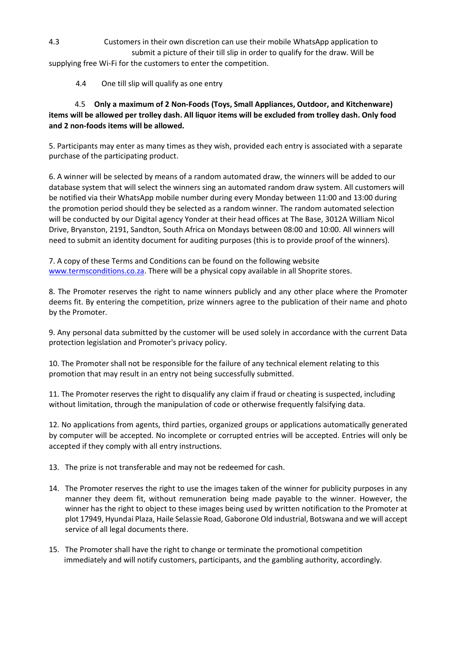4.3 Customers in their own discretion can use their mobile WhatsApp application to submit a picture of their till slip in order to qualify for the draw. Will be

supplying free Wi-Fi for the customers to enter the competition.

4.4 One till slip will qualify as one entry

# 4.5 **Only a maximum of 2 Non-Foods (Toys, Small Appliances, Outdoor, and Kitchenware) items will be allowed per trolley dash. All liquor items will be excluded from trolley dash. Only food and 2 non-foods items will be allowed.**

5. Participants may enter as many times as they wish, provided each entry is associated with a separate purchase of the participating product.

6. A winner will be selected by means of a random automated draw, the winners will be added to our database system that will select the winners sing an automated random draw system. All customers will be notified via their WhatsApp mobile number during every Monday between 11:00 and 13:00 during the promotion period should they be selected as a random winner. The random automated selection will be conducted by our Digital agency Yonder at their head offices at The Base, 3012A William Nicol Drive, Bryanston, 2191, Sandton, South Africa on Mondays between 08:00 and 10:00. All winners will need to submit an identity document for auditing purposes (this is to provide proof of the winners).

7. A copy of these Terms and Conditions can be found on the following website [www.termsconditions.co.za.](http://www.termsconditions.co.za/) There will be a physical copy available in all Shoprite stores.

8. The Promoter reserves the right to name winners publicly and any other place where the Promoter deems fit. By entering the competition, prize winners agree to the publication of their name and photo by the Promoter.

9. Any personal data submitted by the customer will be used solely in accordance with the current Data protection legislation and Promoter's privacy policy.

10. The Promoter shall not be responsible for the failure of any technical element relating to this promotion that may result in an entry not being successfully submitted.

11. The Promoter reserves the right to disqualify any claim if fraud or cheating is suspected, including without limitation, through the manipulation of code or otherwise frequently falsifying data.

12. No applications from agents, third parties, organized groups or applications automatically generated by computer will be accepted. No incomplete or corrupted entries will be accepted. Entries will only be accepted if they comply with all entry instructions.

13. The prize is not transferable and may not be redeemed for cash.

- 14. The Promoter reserves the right to use the images taken of the winner for publicity purposes in any manner they deem fit, without remuneration being made payable to the winner. However, the winner has the right to object to these images being used by written notification to the Promoter at plot 17949, Hyundai Plaza, Haile Selassie Road, Gaborone Old industrial, Botswana and we will accept service of all legal documents there.
- 15. The Promoter shall have the right to change or terminate the promotional competition immediately and will notify customers, participants, and the gambling authority, accordingly.